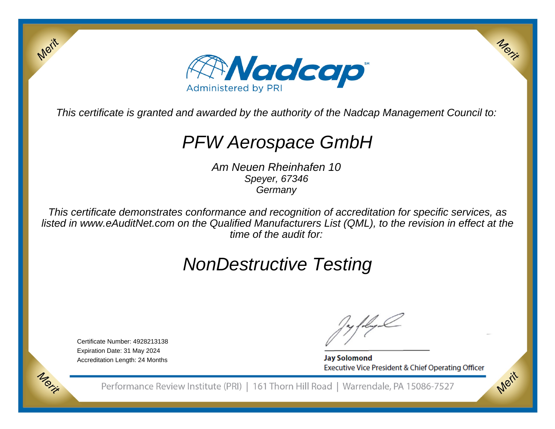

This certificate is granted and awarded by the authority of the Nadcap Management Council to:

# PFW Aerospace GmbH

Am Neuen Rheinhafen 10Speyer, 67346**Germany** 

This certificate demonstrates conformance and recognition of accreditation for specific services, as listed in www.eAuditNet.com on the Qualified Manufacturers List (QML), to the revision in effect at thetime of the audit for:

# NonDestructive Testing

Certificate Number: 4928213138Expiration Date: 31 May 2024Accreditation Length: 24 Months

Merit

Morie

**Jay Solomond** Executive Vice President & Chief Operating Officer Merit

Merit

Performance Review Institute (PRI) | 161 Thorn Hill Road | Warrendale, PA 15086-7527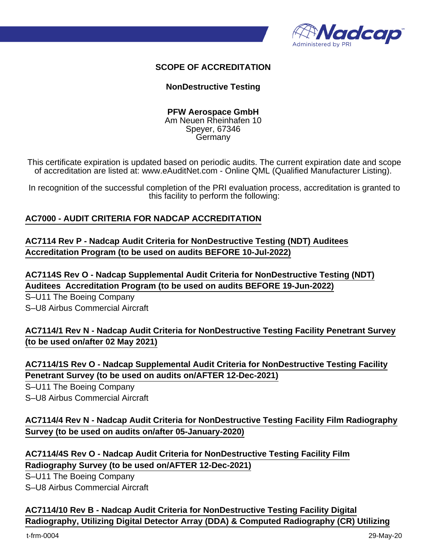

## **SCOPE OF ACCREDITATION**

### **NonDestructive Testing**

#### **PFW Aerospace GmbH** Am Neuen Rheinhafen 10 Speyer, 67346 Germany

This certificate expiration is updated based on periodic audits. The current expiration date and scope of accreditation are listed at: www.eAuditNet.com - Online QML (Qualified Manufacturer Listing).

In recognition of the successful completion of the PRI evaluation process, accreditation is granted to this facility to perform the following:

### **AC7000 - AUDIT CRITERIA FOR NADCAP ACCREDITATION**

## **AC7114 Rev P - Nadcap Audit Criteria for NonDestructive Testing (NDT) Auditees Accreditation Program (to be used on audits BEFORE 10-Jul-2022)**

**AC7114S Rev O - Nadcap Supplemental Audit Criteria for NonDestructive Testing (NDT) Auditees Accreditation Program (to be used on audits BEFORE 19-Jun-2022)**

S–U11 The Boeing Company S–U8 Airbus Commercial Aircraft

**AC7114/1 Rev N - Nadcap Audit Criteria for NonDestructive Testing Facility Penetrant Survey (to be used on/after 02 May 2021)**

**AC7114/1S Rev O - Nadcap Supplemental Audit Criteria for NonDestructive Testing Facility Penetrant Survey (to be used on audits on/AFTER 12-Dec-2021)**

S–U11 The Boeing Company

S–U8 Airbus Commercial Aircraft

## **AC7114/4 Rev N - Nadcap Audit Criteria for NonDestructive Testing Facility Film Radiography Survey (to be used on audits on/after 05-January-2020)**

**AC7114/4S Rev O - Nadcap Audit Criteria for NonDestructive Testing Facility Film Radiography Survey (to be used on/AFTER 12-Dec-2021)**

S–U11 The Boeing Company S–U8 Airbus Commercial Aircraft

**AC7114/10 Rev B - Nadcap Audit Criteria for NonDestructive Testing Facility Digital Radiography, Utilizing Digital Detector Array (DDA) & Computed Radiography (CR) Utilizing**